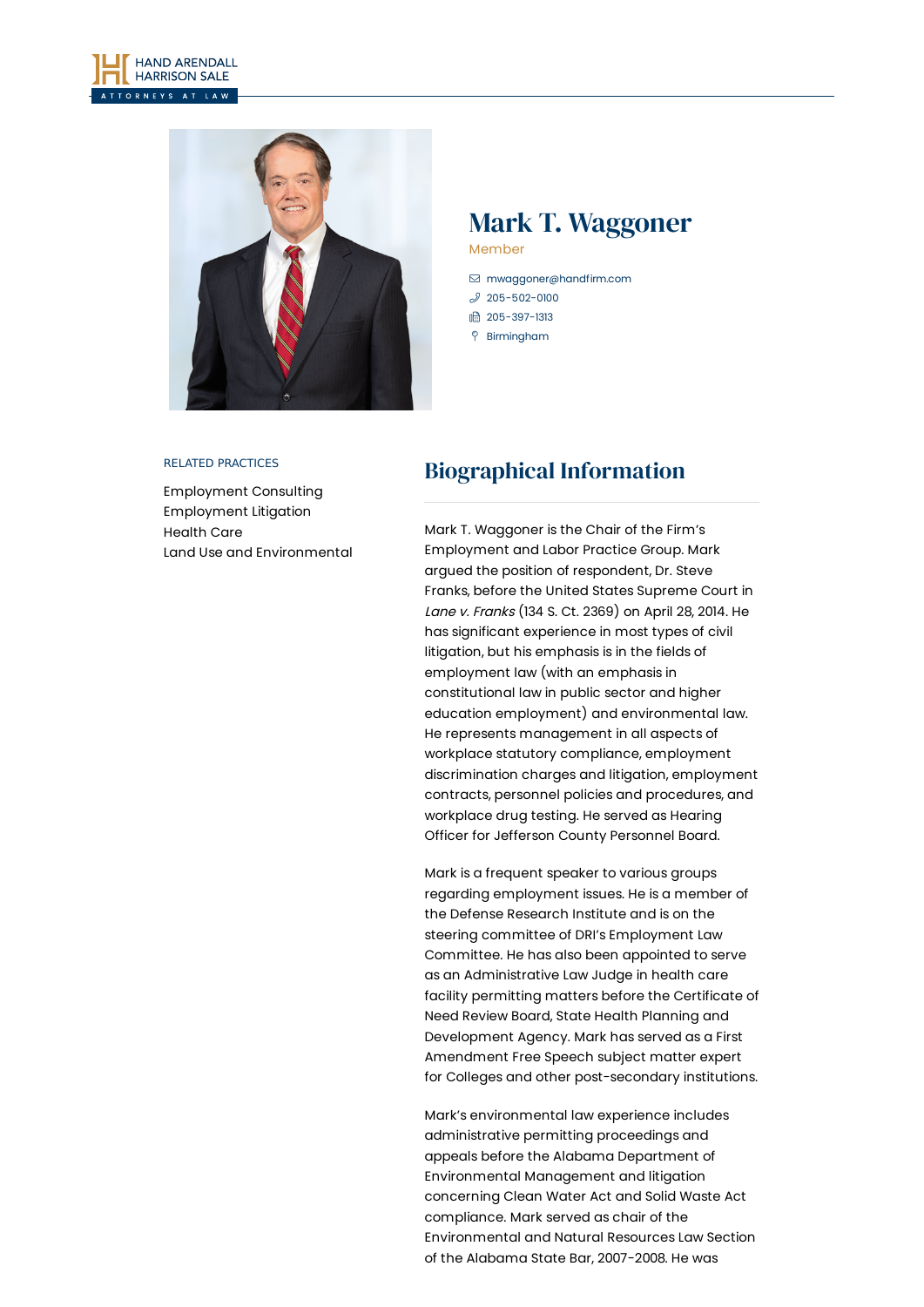



## Mark T. Waggoner Member

- [mwaggoner@handfirm.com](mailto:mwaggoner@handfirm.com)
- $$205 502 0100$
- 1 205-397-1313
- Birmingham

#### RELATED PRACTICES

[Employment](https://www.handfirm.com/practices/business-services/employment-consulting/) Consulting [Employment](https://www.handfirm.com/practices/litigation/employment-litigation/) Litigation [Health](https://www.handfirm.com/practices/industries/health-care/) Care Land Use and [Environmental](https://www.handfirm.com/practices/business-services/land-use-and-environmental/)

# Biographical Information

Mark T. Waggoner is the Chair of the Firm's Employment and Labor Practice Group. Mark argued the position of respondent, Dr. Steve Franks, before the United States Supreme Court in Lane v. Franks (134 S. Ct. 2369) on April 28, 2014. He has significant experience in most types of civil litigation, but his emphasis is in the fields of employment law (with an emphasis in constitutional law in public sector and higher education employment) and environmental law. He represents management in all aspects of workplace statutory compliance, employment discrimination charges and litigation, employment contracts, personnel policies and procedures, and workplace drug testing. He served as Hearing Officer for Jefferson County Personnel Board.

Mark is a frequent speaker to various groups regarding employment issues. He is a member of the Defense Research Institute and is on the steering committee of DRI's Employment Law Committee. He has also been appointed to serve as an Administrative Law Judge in health care facility permitting matters before the Certificate of Need Review Board, State Health Planning and Development Agency. Mark has served as a First Amendment Free Speech subject matter expert for Colleges and other post-secondary institutions.

Mark's environmental law experience includes administrative permitting proceedings and appeals before the Alabama Department of Environmental Management and litigation concerning Clean Water Act and Solid Waste Act compliance. Mark served as chair of the Environmental and Natural Resources Law Section of the Alabama State Bar, 2007-2008. He was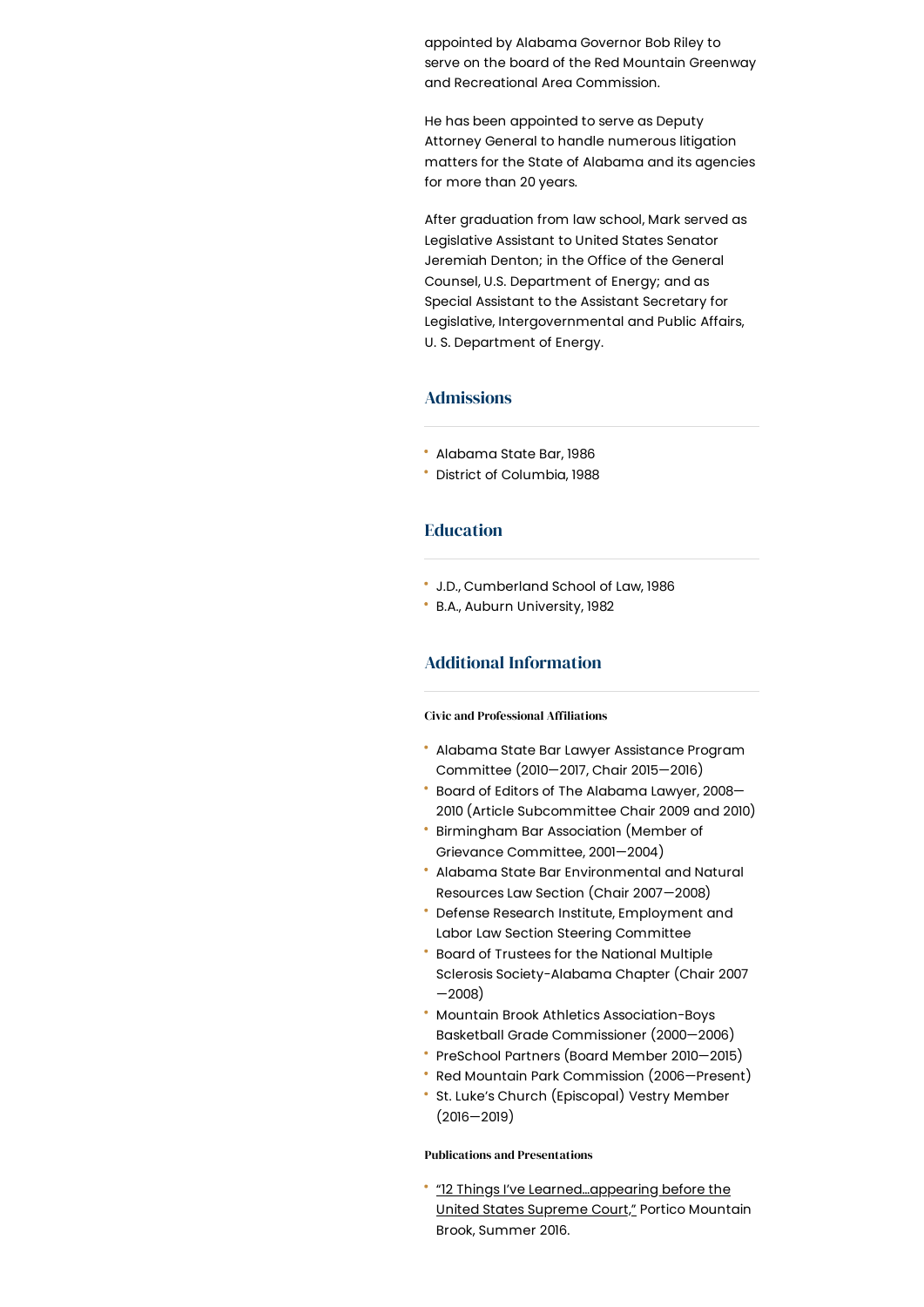appointed by Alabama Governor Bob Riley to serve on the board of the Red Mountain Greenway and Recreational Area Commission.

He has been appointed to serve as Deputy Attorney General to handle numerous litigation matters for the State of Alabama and its agencies for more than 20 years.

After graduation from law school, Mark served as Legislative Assistant to United States Senator Jeremiah Denton; in the Office of the General Counsel, U.S. Department of Energy; and as Special Assistant to the Assistant Secretary for Legislative, Intergovernmental and Public Affairs, U. S. Department of Energy.

## Admissions

- Alabama State Bar, 1986
- District of Columbia, 1988

### Education

- J.D., Cumberland School of Law, 1986
- B.A., Auburn University, 1982

## Additional Information

### **Civic and Professional Affiliations**

- Alabama State Bar Lawyer Assistance Program Committee (2010—2017, Chair 2015—2016)
- Board of Editors of The Alabama Lawyer, 2008— 2010 (Article Subcommittee Chair 2009 and 2010)
- Birmingham Bar Association (Member of Grievance Committee, 2001—2004)
- Alabama State Bar Environmental and Natural Resources Law Section (Chair 2007—2008)
- Defense Research Institute, Employment and Labor Law Section Steering Committee
- ٠ Board of Trustees for the National Multiple Sclerosis Society-Alabama Chapter (Chair 2007 —2008)
- Mountain Brook Athletics Association-Boys Basketball Grade Commissioner (2000—2006)
- PreSchool Partners (Board Member 2010—2015)
- Red Mountain Park Commission (2006—Present)
- St. Luke's Church (Episcopal) Vestry Member (2016—2019)

#### Publications and Presentations

"12 Things I've [Learned…appearing](https://www.handfirm.com/wp-content/uploads/2020/10/waggoner_portico_p68_summer_2016.pdf) before the United States Supreme Court," Portico Mountain Brook, Summer 2016.